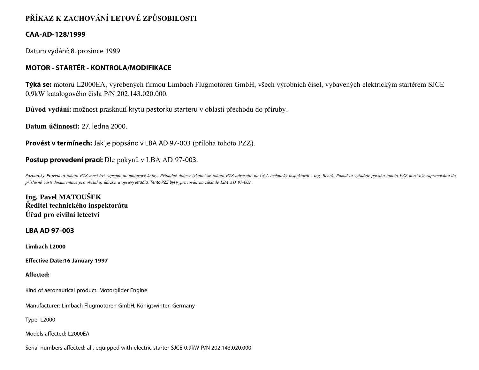# **PŘÍKAZ K ZACHOVÁNÍ LETOVÉ ZPŮSOBILOSTI**

# **CAA-AD-128/1999**

Datum vydání: 8. prosince 1999

# **MOTOR - STARTÉR - KONTROLA/MODIFIKACE**

**Týká se:** motorů L2000EA, vyrobených firmou Limbach Flugmotoren GmbH, všech výrobních čísel, vybavených elektrickým startérem SJCE 0,9kW katalogového čísla P/N 202.143.020.000.

**Důvod vydání:** možnost prasknutí krytu pastorku starteru v oblasti přechodu do příruby.

**Datum účinnosti:** 27. ledna 2000.

**Provést v termínech:** Jak je popsáno v LBA AD 97-003 (příloha tohoto PZZ).

# **Postup provedení prací:** Dle pokynů v LBA AD 97-003.

Poznámky: Provedení tohoto PZZ musí být zapsáno do motorové knihy. Případné dotazy týkající se tohoto PZZ adresujte na ÚCL technický inspektorát - Ing. Beneš. Pokud to vyžaduje povaha tohoto PZZ musí být zapracováno do *příslušné části dokumentace pro obsluhu, údržbu a opravy letadla. Tento PZZ byl vypracován na základě LBA AD 97- 003.*

**Ing. Pavel MATOUŠEK Ředitel technického inspektorátu Úřad pro civilní letectví**

**LBA AD 97-003**

**Limbach L2000**

**Effective Date:16 January 1997**

### **Affected:**

Kind of aeronautical product: Motorglider Engine

Manufacturer: Limbach Flugmotoren GmbH, Königswinter, Germany

Type: L2000

Models affected: L2000EA

Serial numbers affected: all, equipped with electric starter SJCE 0.9kW P/N 202.143.020.000